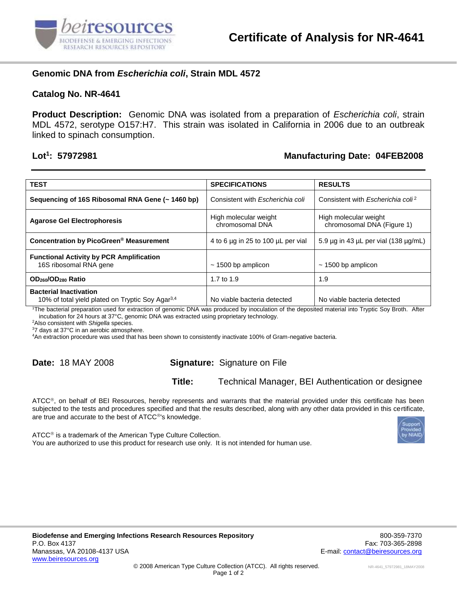

## **Genomic DNA from** *Escherichia coli***, Strain MDL 4572**

#### **Catalog No. NR-4641**

**Product Description:** Genomic DNA was isolated from a preparation of *Escherichia coli*, strain MDL 4572, serotype O157:H7. This strain was isolated in California in 2006 due to an outbreak linked to spinach consumption.

#### Lot<sup>1</sup>: 57972981

## **: 57972981 Manufacturing Date: 04FEB2008**

| <b>TEST</b>                                                                                   | <b>SPECIFICATIONS</b>                    | <b>RESULTS</b>                                      |
|-----------------------------------------------------------------------------------------------|------------------------------------------|-----------------------------------------------------|
| Sequencing of 16S Ribosomal RNA Gene (~ 1460 bp)                                              | Consistent with <i>Escherichia coli</i>  | Consistent with <i>Escherichia coli<sup>2</sup></i> |
| <b>Agarose Gel Electrophoresis</b>                                                            | High molecular weight<br>chromosomal DNA | High molecular weight<br>chromosomal DNA (Figure 1) |
| Concentration by PicoGreen <sup>®</sup> Measurement                                           | 4 to 6 µg in 25 to 100 µL per vial       | 5.9 $\mu$ g in 43 $\mu$ L per vial (138 $\mu$ g/mL) |
| <b>Functional Activity by PCR Amplification</b><br>16S ribosomal RNA gene                     | $\sim$ 1500 bp amplicon                  | $\sim$ 1500 bp amplicon                             |
| OD <sub>260</sub> /OD <sub>280</sub> Ratio                                                    | 1.7 to 1.9                               | 1.9                                                 |
| <b>Bacterial Inactivation</b><br>10% of total yield plated on Tryptic Soy Agar <sup>3,4</sup> | No viable bacteria detected              | No viable bacteria detected                         |

<sup>1</sup>The bacterial preparation used for extraction of genomic DNA was produced by inoculation of the deposited material into Tryptic Soy Broth. After incubation for 24 hours at 37°C, genomic DNA was extracted using proprietary technology.

<sup>2</sup>Also consistent with *Shigella* species.

<sup>3</sup>7 days at 37°C in an aerobic atmosphere.

<sup>4</sup>An extraction procedure was used that has been shown to consistently inactivate 100% of Gram-negative bacteria.

## **Date:** 18 MAY 2008 **Signature:** Signature on File

**Title:** Technical Manager, BEI Authentication or designee

ATCC®, on behalf of BEI Resources, hereby represents and warrants that the material provided under this certificate has been subjected to the tests and procedures specified and that the results described, along with any other data provided in this certificate, are true and accurate to the best of ATCC<sup>®'</sup>s knowledge.



 $ATCC<sup>®</sup>$  is a trademark of the American Type Culture Collection. You are authorized to use this product for research use only. It is not intended for human use.